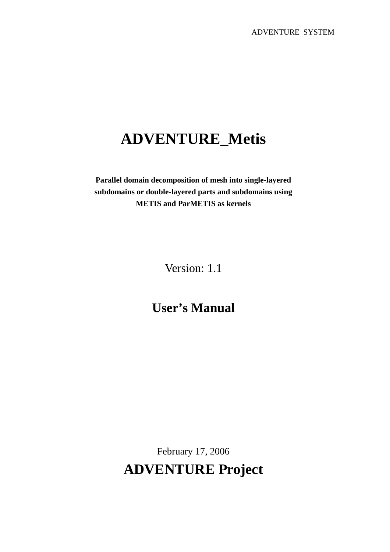# **ADVENTURE\_Metis**

**Parallel domain decomposition of mesh into single-layered subdomains or double-layered parts and subdomains using METIS and ParMETIS as kernels**

Version: 1.1

# **User's Manual**

February 17, 2006 **ADVENTURE Project**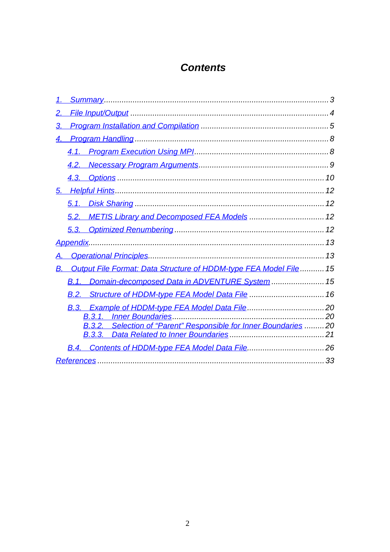# **Contents**

| 3.                                                                       |  |
|--------------------------------------------------------------------------|--|
| 4.                                                                       |  |
|                                                                          |  |
|                                                                          |  |
|                                                                          |  |
|                                                                          |  |
| 5.1.                                                                     |  |
|                                                                          |  |
|                                                                          |  |
|                                                                          |  |
| Α.                                                                       |  |
| Output File Format: Data Structure of HDDM-type FEA Model File  15<br>В. |  |
| Domain-decomposed Data in ADVENTURE System  15<br><b>B.1.</b>            |  |
| B.2. Structure of HDDM-type FEA Model Data File  16                      |  |
|                                                                          |  |
|                                                                          |  |
| <b>B.3.2.</b> Selection of "Parent" Responsible for Inner Boundaries 20  |  |
|                                                                          |  |
|                                                                          |  |
|                                                                          |  |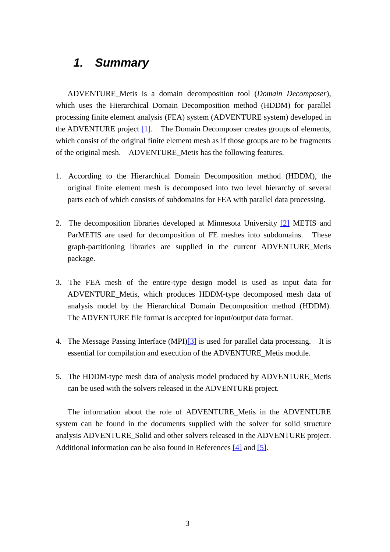# *1. Summary*

ADVENTURE\_Metis is a domain decomposition tool (*Domain Decomposer*), which uses the Hierarchical Domain Decomposition method (HDDM) for parallel processing finite element analysis (FEA) system (ADVENTURE system) developed in the ADVENTURE project [1]. The Domain Decomposer creates groups of elements, which consist of the original finite element mesh as if those groups are to be fragments of the original mesh. ADVENTURE\_Metis has the following features.

- 1. According to the Hierarchical Domain Decomposition method (HDDM), the original finite element mesh is decomposed into two level hierarchy of several parts each of which consists of subdomains for FEA with parallel data processing.
- 2. The decomposition libraries developed at Minnesota University [2] METIS and ParMETIS are used for decomposition of FE meshes into subdomains. These graph-partitioning libraries are supplied in the current ADVENTURE\_Metis package.
- 3. The FEA mesh of the entire-type design model is used as input data for ADVENTURE\_Metis, which produces HDDM-type decomposed mesh data of analysis model by the Hierarchical Domain Decomposition method (HDDM). The ADVENTURE file format is accepted for input/output data format.
- 4. The Message Passing Interface (MPI)[3] is used for parallel data processing. It is essential for compilation and execution of the ADVENTURE\_Metis module.
- 5. The HDDM-type mesh data of analysis model produced by ADVENTURE\_Metis can be used with the solvers released in the ADVENTURE project.

The information about the role of ADVENTURE\_Metis in the ADVENTURE system can be found in the documents supplied with the solver for solid structure analysis ADVENTURE\_Solid and other solvers released in the ADVENTURE project. Additional information can be also found in References [4] and [5].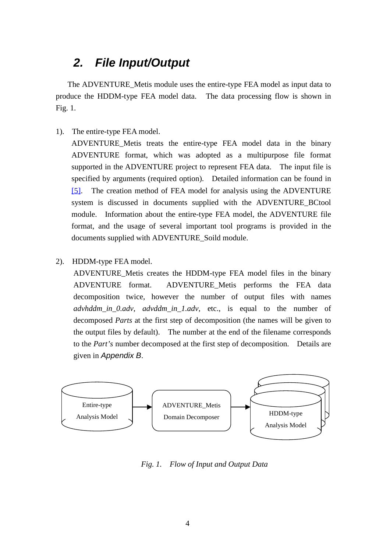# *2. File Input/Output*

The ADVENTURE\_Metis module uses the entire-type FEA model as input data to produce the HDDM-type FEA model data. The data processing flow is shown in Fig. 1.

1). The entire-type FEA model.

ADVENTURE\_Metis treats the entire-type FEA model data in the binary ADVENTURE format, which was adopted as a multipurpose file format supported in the ADVENTURE project to represent FEA data. The input file is specified by arguments (required option). Detailed information can be found in [5]. The creation method of FEA model for analysis using the ADVENTURE system is discussed in documents supplied with the ADVENTURE\_BCtool module. Information about the entire-type FEA model, the ADVENTURE file format, and the usage of several important tool programs is provided in the documents supplied with ADVENTURE\_Soild module.

2). HDDM-type FEA model.

ADVENTURE\_Metis creates the HDDM-type FEA model files in the binary ADVENTURE format. ADVENTURE\_Metis performs the FEA data decomposition twice, however the number of output files with names *advhddm\_in\_0.adv*, *advddm\_in\_1.adv*, etc., is equal to the number of decomposed *Parts* at the first step of decomposition (the names will be given to the output files by default). The number at the end of the filename corresponds to the *Part's* number decomposed at the first step of decomposition. Details are given in *Appendix B*.



*Fig. 1. Flow of Input and Output Data*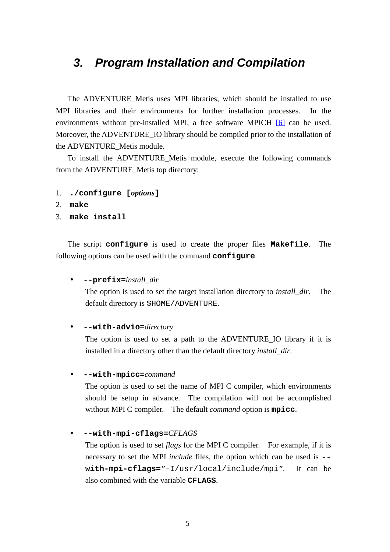# *3. Program Installation and Compilation*

The ADVENTURE\_Metis uses MPI libraries, which should be installed to use MPI libraries and their environments for further installation processes. In the environments without pre-installed MPI, a free software MPICH [6] can be used. Moreover, the ADVENTURE\_IO library should be compiled prior to the installation of the ADVENTURE\_Metis module.

To install the ADVENTURE\_Metis module, execute the following commands from the ADVENTURE\_Metis top directory:

- 1. **./configure [***options***]**
- 2. **make**
- 3. **make install**

The script **configure** is used to create the proper files **Makefile**. The following options can be used with the command **configure**.

```
• --prefix=install_dir
```
The option is used to set the target installation directory to *install\_dir*. The default directory is \$HOME/ADVENTURE.

• **--with-advio=***directory*

The option is used to set a path to the ADVENTURE\_IO library if it is installed in a directory other than the default directory *install\_dir*.

• **--with-mpicc=***command*

The option is used to set the name of MPI C compiler, which environments should be setup in advance. The compilation will not be accomplished without MPI C compiler. The default *command* option is **mpicc**.

### • **--with-mpi-cflags=***CFLAGS*

The option is used to set *flags* for the MPI C compiler. For example, if it is necessary to set the MPI *include* files, the option which can be used is **- with-mpi-cflags=***"*-I/usr/local/include/mpi*"*. It can be also combined with the variable **CFLAGS**.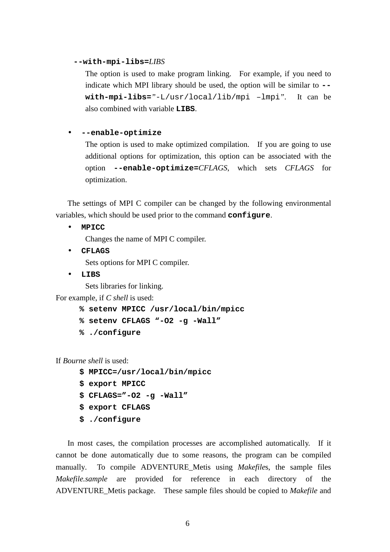### **--with-mpi-libs=***LIBS*

The option is used to make program linking. For example, if you need to indicate which MPI library should be used, the option will be similar to **- with-mpi-libs=***"*-L/usr/local/lib/mpi –lmpi*"*. It can be also combined with variable **LIBS**.

### • **--enable-optimize**

The option is used to make optimized compilation. If you are going to use additional options for optimization, this option can be associated with the option **--enable-optimize=***CFLAGS*, which sets *CFLAGS* for optimization.

The settings of MPI C compiler can be changed by the following environmental variables, which should be used prior to the command **configure**.

• **MPICC**

Changes the name of MPI C compiler.

• **CFLAGS**

Sets options for MPI C compiler.

• **LIBS**

Sets libraries for linking.

For example, if *C shell* is used:

- **% setenv MPICC /usr/local/bin/mpicc**
- **% setenv CFLAGS "-O2 -g -Wall"**
- **% ./configure**

If *Bourne shell* is used:

- **\$ MPICC=/usr/local/bin/mpicc**
- **\$ export MPICC**
- **\$ CFLAGS="-O2 -g -Wall"**
- **\$ export CFLAGS**
- **\$ ./configure**

In most cases, the compilation processes are accomplished automatically. If it cannot be done automatically due to some reasons, the program can be compiled manually. To compile ADVENTURE Metis using *Makefiles*, the sample files *Makefile.sample* are provided for reference in each directory of the ADVENTURE\_Metis package. These sample files should be copied to *Makefile* and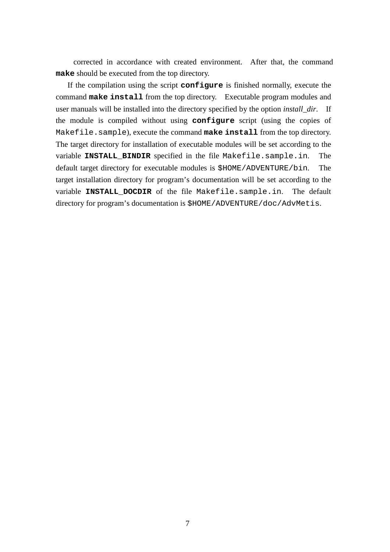corrected in accordance with created environment. After that, the command **make** should be executed from the top directory.

If the compilation using the script **configure** is finished normally, execute the command **make install** from the top directory. Executable program modules and user manuals will be installed into the directory specified by the option *install\_dir*. If the module is compiled without using **configure** script (using the copies of Makefile.sample), execute the command **make install** from the top directory. The target directory for installation of executable modules will be set according to the variable **INSTALL\_BINDIR** specified in the file Makefile.sample.in. The default target directory for executable modules is \$HOME/ADVENTURE/bin. The target installation directory for program's documentation will be set according to the variable **INSTALL\_DOCDIR** of the file Makefile.sample.in. The default directory for program's documentation is \$HOME/ADVENTURE/doc/AdvMetis.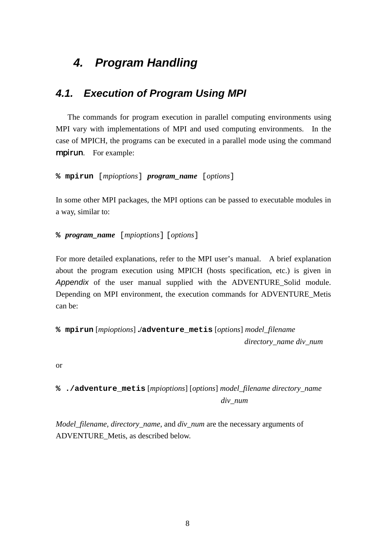# *4. Program Handling*

# *4.1. Execution of Program Using MPI*

The commands for program execution in parallel computing environments using MPI vary with implementations of MPI and used computing environments. In the case of MPICH, the programs can be executed in a parallel mode using the command mpirun. For example:

## **% mpirun** [*mpioptions*] *program\_name* [*options*]

In some other MPI packages, the MPI options can be passed to executable modules in a way, similar to:

## **%** *program\_name* [*mpioptions*] [*options*]

For more detailed explanations, refer to the MPI user's manual. A brief explanation about the program execution using MPICH (hosts specification, etc.) is given in *Appendix* of the user manual supplied with the ADVENTURE\_Solid module. Depending on MPI environment, the execution commands for ADVENTURE\_Metis can be:

```
% mpirun [mpioptions] ./adventure_metis [options] model_filename
                                                   directory_name div_num
```
or

# **% ./adventure\_metis** [*mpioptions*] [*options*] *model\_filename directory\_name div\_num*

*Model\_filename, directory\_name*, and *div\_num* are the necessary arguments of ADVENTURE\_Metis, as described below.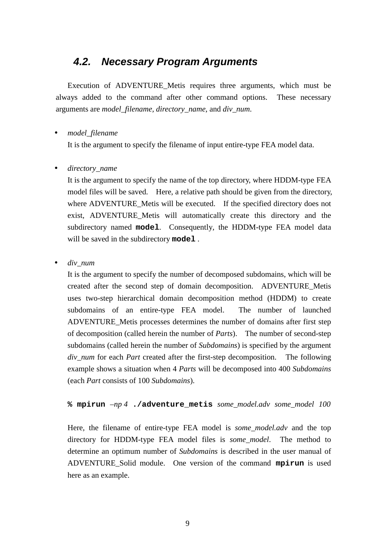# *4.2. Necessary Program Arguments*

Execution of ADVENTURE\_Metis requires three arguments, which must be always added to the command after other command options. These necessary arguments are *model\_filename, directory\_name*, and *div\_num*.

# • *model\_filename*

It is the argument to specify the filename of input entire-type FEA model data.

## • *directory\_name*

It is the argument to specify the name of the top directory, where HDDM-type FEA model files will be saved. Here, a relative path should be given from the directory, where ADVENTURE\_Metis will be executed. If the specified directory does not exist, ADVENTURE\_Metis will automatically create this directory and the subdirectory named **model**. Consequently, the HDDM-type FEA model data will be saved in the subdirectory **model** .

• *div\_num*

It is the argument to specify the number of decomposed subdomains, which will be created after the second step of domain decomposition. ADVENTURE\_Metis uses two-step hierarchical domain decomposition method (HDDM) to create subdomains of an entire-type FEA model. The number of launched ADVENTURE\_Metis processes determines the number of domains after first step of decomposition (called herein the number of *Parts*). The number of second-step subdomains (called herein the number of *Subdomains*) is specified by the argument *div\_num* for each *Part* created after the first-step decomposition. The following example shows a situation when 4 *Parts* will be decomposed into 400 *Subdomains* (each *Part* consists of 100 *Subdomains*).

**% mpirun** *–np 4* **./adventure\_metis** *some\_model.adv some\_model 100*

Here, the filename of entire-type FEA model is *some\_model.adv* and the top directory for HDDM-type FEA model files is *some\_model*. The method to determine an optimum number of *Subdomains* is described in the user manual of ADVENTURE\_Solid module. One version of the command **mpirun** is used here as an example.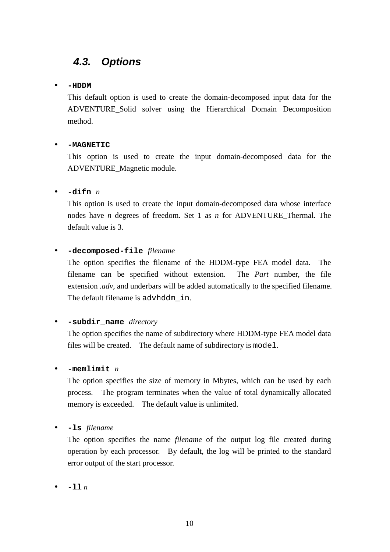# *4.3. Options*

## • **-HDDM**

This default option is used to create the domain-decomposed input data for the ADVENTURE\_Solid solver using the Hierarchical Domain Decomposition method.

## • **-MAGNETIC**

This option is used to create the input domain-decomposed data for the ADVENTURE\_Magnetic module.

# • **-difn** *n*

This option is used to create the input domain-decomposed data whose interface nodes have *n* degrees of freedom. Set 1 as *n* for ADVENTURE\_Thermal. The default value is 3.

# • **-decomposed-file** *filename*

The option specifies the filename of the HDDM-type FEA model data. The filename can be specified without extension. The *Part* number, the file extension *.adv*, and underbars will be added automatically to the specified filename. The default filename is advhddm in.

### • **-subdir\_name** *directory*

The option specifies the name of subdirectory where HDDM-type FEA model data files will be created. The default name of subdirectory is model.

## • **-memlimit** *n*

The option specifies the size of memory in Mbytes, which can be used by each process. The program terminates when the value of total dynamically allocated memory is exceeded. The default value is unlimited.

• **-ls** *filename*

The option specifies the name *filename* of the output log file created during operation by each processor. By default, the log will be printed to the standard error output of the start processor.

• **-ll** *n*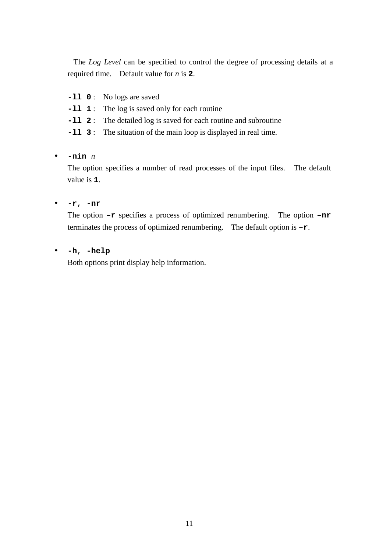The *Log Level* can be specified to control the degree of processing details at a required time. Default value for *n* is **2**.

- **-ll 0** : No logs are saved
- **-ll 1** : The log is saved only for each routine
- **-ll 2** : The detailed log is saved for each routine and subroutine
- **-ll 3** : The situation of the main loop is displayed in real time.

# • **-nin** *n*

The option specifies a number of read processes of the input files. The default value is **1**.

# • **-r**, **-nr**

The option **–r** specifies a process of optimized renumbering. The option **–nr** terminates the process of optimized renumbering. The default option is **–r**.

## • **-h**, **-help**

Both options print display help information.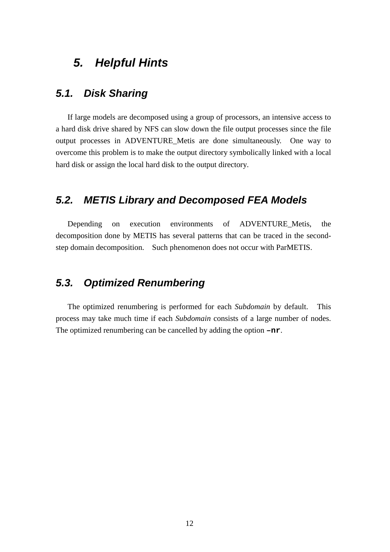# *5. Helpful Hints*

# *5.1. Disk Sharing*

If large models are decomposed using a group of processors, an intensive access to a hard disk drive shared by NFS can slow down the file output processes since the file output processes in ADVENTURE\_Metis are done simultaneously. One way to overcome this problem is to make the output directory symbolically linked with a local hard disk or assign the local hard disk to the output directory.

# *5.2. METIS Library and Decomposed FEA Models*

Depending on execution environments of ADVENTURE\_Metis, the decomposition done by METIS has several patterns that can be traced in the secondstep domain decomposition. Such phenomenon does not occur with ParMETIS.

# *5.3. Optimized Renumbering*

The optimized renumbering is performed for each *Subdomain* by default. This process may take much time if each *Subdomain* consists of a large number of nodes. The optimized renumbering can be cancelled by adding the option **–nr**.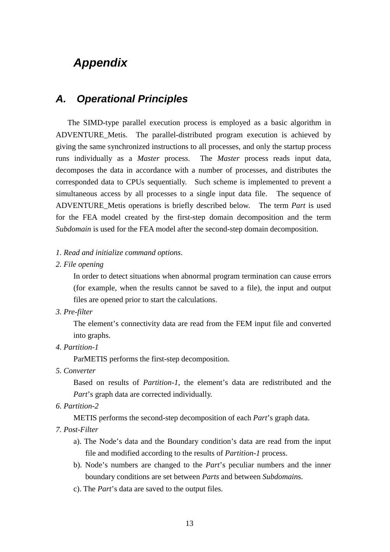# *Appendix*

# *A. Operational Principles*

The SIMD-type parallel execution process is employed as a basic algorithm in ADVENTURE Metis. The parallel-distributed program execution is achieved by giving the same synchronized instructions to all processes, and only the startup process runs individually as a *Master* process. The *Master* process reads input data, decomposes the data in accordance with a number of processes, and distributes the corresponded data to CPUs sequentially. Such scheme is implemented to prevent a simultaneous access by all processes to a single input data file. The sequence of ADVENTURE\_Metis operations is briefly described below. The term *Part* is used for the FEA model created by the first-step domain decomposition and the term *Subdomain* is used for the FEA model after the second-step domain decomposition.

### *1. Read and initialize command options*.

*2. File opening*

In order to detect situations when abnormal program termination can cause errors (for example, when the results cannot be saved to a file), the input and output files are opened prior to start the calculations.

*3. Pre-filter*

The element's connectivity data are read from the FEM input file and converted into graphs.

*4. Partition-1*

ParMETIS performs the first-step decomposition.

*5. Converter*

Based on results of *Partition-1*, the element's data are redistributed and the *Part*'s graph data are corrected individually.

*6. Partition-2*

METIS performs the second-step decomposition of each *Part*'s graph data.

- *7. Post-Filter*
	- a). The Node's data and the Boundary condition's data are read from the input file and modified according to the results of *Partition-1* process.
	- b). Node's numbers are changed to the *Part*'s peculiar numbers and the inner boundary conditions are set between *Parts* and between *Subdomain*s.
	- c). The *Part*'s data are saved to the output files.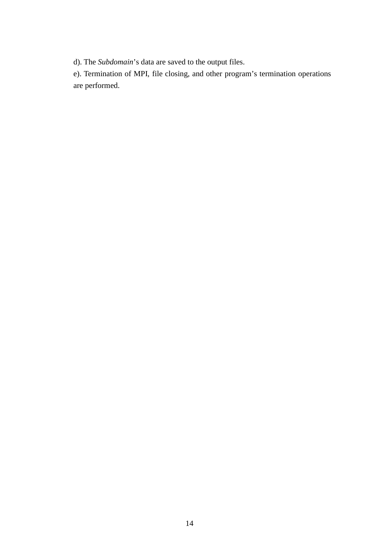d). The *Subdomain*'s data are saved to the output files.

e). Termination of MPI, file closing, and other program's termination operations are performed.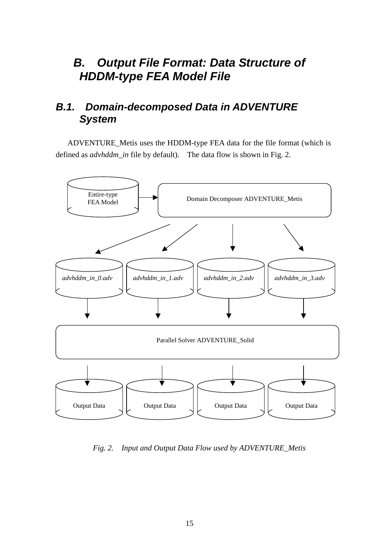# *B. Output File Format: Data Structure of HDDM-type FEA Model File*

# *B.1. Domain-decomposed Data in ADVENTURE System*

ADVENTURE\_Metis uses the HDDM-type FEA data for the file format (which is defined as *advhddm\_in* file by default). The data flow is shown in Fig. 2.



*Fig. 2. Input and Output Data Flow used by ADVENTURE\_Metis*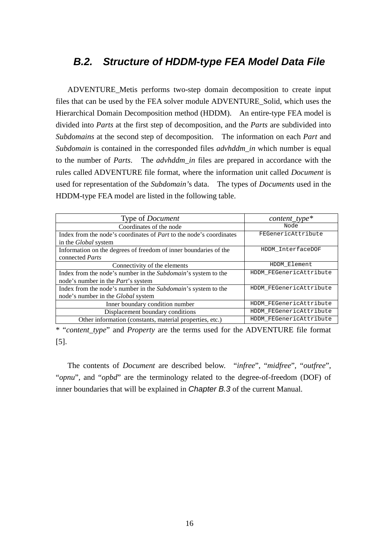# *B.2. Structure of HDDM-type FEA Model Data File*

ADVENTURE\_Metis performs two-step domain decomposition to create input files that can be used by the FEA solver module ADVENTURE\_Solid, which uses the Hierarchical Domain Decomposition method (HDDM). An entire-type FEA model is divided into *Parts* at the first step of decomposition, and the *Parts* are subdivided into *Subdomains* at the second step of decomposition. The information on each *Part* and *Subdomain* is contained in the corresponded files *advhddm\_in* which number is equal to the number of *Parts*. The *advhddm\_in* files are prepared in accordance with the rules called ADVENTURE file format, where the information unit called *Document* is used for representation of the *Subdomain'*s data. The types of *Documents* used in the HDDM-type FEA model are listed in the following table.

| Type of <i>Document</i>                                                    | $content\_type*$        |
|----------------------------------------------------------------------------|-------------------------|
| Coordinates of the node                                                    | Node                    |
| Index from the node's coordinates of <i>Part</i> to the node's coordinates | FEGenericAttribute      |
| in the <i>Global</i> system                                                |                         |
| Information on the degrees of freedom of inner boundaries of the           | HDDM InterfaceDOF       |
| connected <i>Parts</i>                                                     |                         |
| Connectivity of the elements                                               | HDDM Element            |
| Index from the node's number in the Subdomain's system to the              | HDDM FEGenericAttribute |
| node's number in the <i>Part</i> 's system                                 |                         |
| Index from the node's number in the Subdomain's system to the              | HDDM_FEGenericAttribute |
| node's number in the <i>Global</i> system                                  |                         |
| Inner boundary condition number                                            | HDDM_FEGenericAttribute |
| Displacement boundary conditions                                           | HDDM FEGenericAttribute |
| Other information (constants, material properties, etc.)                   | HDDM FEGenericAttribute |

\* "*content\_type*" and *Property* are the terms used for the ADVENTURE file format [5].

The contents of *Document* are described below. "*infree*", "*midfree*", "*outfree*", "*opnu*", and "*opbd*" are the terminology related to the degree-of-freedom (DOF) of inner boundaries that will be explained in *Chapter B.3* of the current Manual.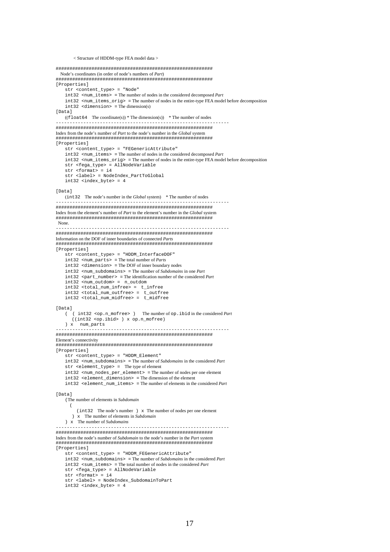```
< Structure of HDDM-type FEA model data >
#########################################################
  Node's coordinates (in order of node's numbers of Part)
#########################################################
[Properties]
    str <content_type> = "Node"
    int32 <num_items> = The number of nodes in the considered decomposed Part
    int32 <num_items_orig> = The number of nodes in the entire-type FEA model before decomposition
    int32 <dimension> = The dimension(s)
[Data]
   ((\text{float64 The coordinate(s)}) * \text{The dimension(s)}) * \text{The number of nodes}---------------------------------------------------------------
#########################################################
Index from the node's number of Part to the node's number in the Global system
#########################################################
[Properties]
   str <content_type> = "FEGenericAttribute"
    int32 <num_items> = The number of nodes in the considered decomposed Part
    int32 <num_items_orig> = The number of nodes in the entire-type FEA model before decomposition
    str <fega_type> = AllNodeVariable
    str <format> = i4
str <label> = NodeIndex_PartToGlobal
   int32 <index_byte> = 4
[Data]
  (int32 The node's number in the Global system) * The number of nodes
---------------------------------------------------------------
#########################################################
Index from the element's number of Part to the element's number in the Global system
#########################################################
 None.
---------------------------------------------------------------
#########################################################
Information on the DOF of inner boundaries of connected Parts
#########################################################
[Properties]
   str <content_type> = "HDDM_InterfaceDOF"
   int32 <num_parts> = The total number of Parts
    int32 <dimension> = The DOF of inner boundary nodes
   int32 <num_subdomains> = The number of Subdomains in one Part
    int32 <part_number> = The identification number of the considered Part
    int32 <num_outdom> = n_outdom
    int32 <total_num_infree> = t_infree
    int32 <total_num_outfree> = t_outfree
   int32 <total_num_midfree> = t_midfree
[Data]
   ( ( int32 <op.n_mofree> ) The number of op.ibid in the considered Part
      ((int32 <op.ibid> ) x op.n_mofree)
   ) x num_parts
---------------------------------------------------------------
#########################################################
Element's connectivity
#########################################################
[Properties]
   str <content_type> = "HDDM_Element"
    int32 <num_subdomains> = The number of Subdomains in the considered Part
   str <element_type> = The type of element
   int32 <num_nodes_per_element> = The number of nodes per one element
    int32 <element_dimension> = The dimension of the element
   int32 <element_num_items> = The number of elements in the considered Part
[Data]
    (The number of elements in Subdomain
      (
         (int32 The node's number ) x The number of nodes per one element
      ) x The number of elements in Subdomain
    ) x The number of Subdomains
---------------------------------------------------------------
#########################################################
Index from the node's number of Subdomain to the node's number in the Part system
#########################################################
[Properties]
    .<br>str <content_type> = "HDDM_FEGenericAttribute"
    int32 <num_subdomains> = The number of Subdomains in the considered Part
   int32 <sum_items> = The total number of nodes in the considered Part
   str <fega_type> = AllNodeVariable
    str <format> = i4
    str <label> = NodeIndex_SubdomainToPart
    int32 <index_byte> = 4
```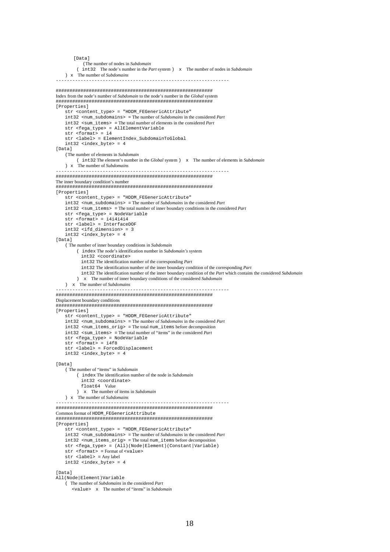```
[Data]
            (The number of nodes in Subdomain
         ( int32 The node's number in the Part system ) x The number of nodes in Subdomain
    ) x The number of Subdomains
---------------------------------------------------------------
#########################################################
Index from the node's number of Subdomain to the node's number in the Global system
#########################################################
[Properties]
    str <content_type> = "HDDM_FEGenericAttribute"
    int32 <num_subdomains> = The number of Subdomains in the considered Part
    int32 <sum_items> = The total number of elements in the considered Part
    str <fega_type> = AllElementVariable
str <format> = i4
   str <label> = ElementIndex_SubdomainToGlobal
   int32 <index_byte> = 4
[Data]
   (The number of elements in Subdomain
         ( int32 The element's number in the Global system ) x The number of elements in Subdomain
    ) x The number of Subdomains
---------------------------------------------------------------
#########################################################
The inner boundary condition's number
#########################################################
[Properties]
   str <content_type> = "HDDM_FEGenericAttribute"
    int.32 \leqnum subdomains> = The number of Subdomains in the considered Part
    int32 <sum_items> = The total number of inner boundary conditions in the considered Part
    str <fega_type> = NodeVariable
   str <format> = i4i4i4i4
    str <label> = InterfaceDOF
    int32 <ifd_dimension> = 3
int32 <index_byte> = 4
[Data]
    ( The number of inner boundary conditions in Subdomain
         ( index The node's identification number in Subdomain's system
           int32 <coordinate>
           int32 The identification number of the corresponding Part
           int32 The identification number of the inner boundary condition of the corresponding Part
           int32 The identification number of the inner boundary condition of the Part which contains the considered Subdomain
         ) x The number of inner boundary conditions of the considered Subdomain
    ) x The number of Subdomains
---------------------------------------------------------------
#########################################################
Displacement boundary conditions
#########################################################
[Properties]
    str <content_type> = "HDDM_FEGenericAttribute"
    int32 <num_subdomains> = The number of Subdomains in the considered Part
    int32 <num_items_orig> = The total num_items before decomposition
    int32 <sum_items> = The total number of "items" in the considered Part
    str <fega_type> = NodeVariable
   str \timesformat> = i4f8
   str <lormat> = 1110<br>str <label> = ForcedDisplacement
    int32 <index_byte> = 4
[Data]
    ( The number of "items" in Subdomain
         ( index The identification number of the node in Subdomain
           int32 <coordinate>
           float64 Value
         ) x The number of items in Subdomain
    ) x The number of Subdomains
---------------------------------------------------------------
#########################################################
Common format of HDDM_FEGenericAttribute
#########################################################
[Properties]
   str <content_type> = "HDDM_FEGenericAttribute"
   int32 <num_subdomains> = The number of Subdomains in the considered Part
    int32 <num_items_orig> = The total num_items before decomposition
   str <fega_type> = (All)(Node|Element)(Constant|Variable)
   str <format> = Format of <value>
    str <label> = Any label
    int32 <index_byte> = 4
[Data]
All(Node|Element)Variable
    ( The number of Subdomains in the considered Part
       <value> x The number of "items" in Subdomain
```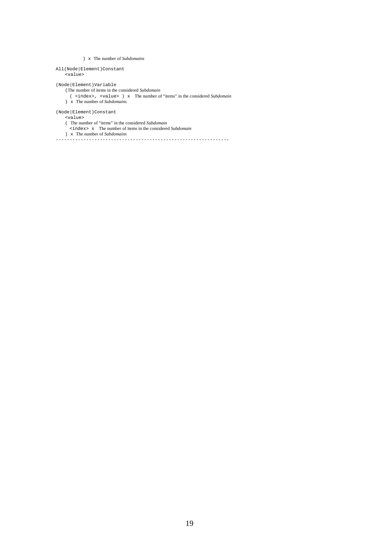### ) x The number of *Subdomains*

#### All(Node|Element)Constant <value>

(Node|Element)Variable

### (The number of items in the considered *Subdomain*

( <index>, <value> ) x The number of "items" in the considered *Subdomain*

### (Node|Element)Constant

<value>

- ( The number of "items" in the considered *Subdomain*
	- <index> x The number of items in the considered *Subdomain*

) x The number of *Subdomains*

) x The number of *Subdomains*

---------------------------------------------------------------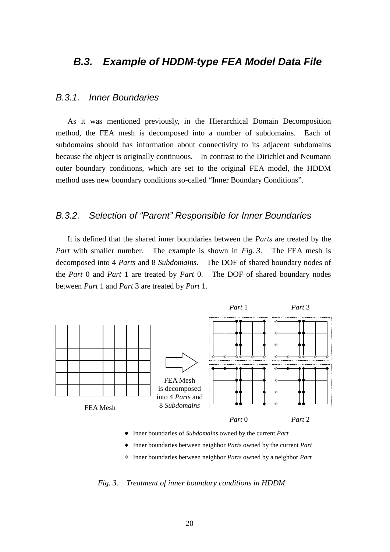# *B.3. Example of HDDM-type FEA Model Data File*

# *B.3.1. Inner Boundaries*

As it was mentioned previously, in the Hierarchical Domain Decomposition method, the FEA mesh is decomposed into a number of subdomains. Each of subdomains should has information about connectivity to its adjacent subdomains because the object is originally continuous. In contrast to the Dirichlet and Neumann outer boundary conditions, which are set to the original FEA model, the HDDM method uses new boundary conditions so-called "Inner Boundary Conditions".

## *B.3.2. Selection of "Parent" Responsible for Inner Boundaries*

It is defined that the shared inner boundaries between the *Parts* are treated by the *Part* with smaller number. The example is shown in *Fig. 3*. The FEA mesh is decomposed into 4 *Parts* and 8 *Subdomains*. The DOF of shared boundary nodes of the *Part* 0 and *Part* 1 are treated by *Part* 0. The DOF of shared boundary nodes between *Part* 1 and *Part* 3 are treated by *Part* 1.



Inner boundaries of *Subdomains* owned by the current *Part*

- Inner boundaries between neighbor *Parts* owned by the current *Part*
- Inner boundaries between neighbor *Parts* owned by a neighbor *Part*

*Fig. 3. Treatment of inner boundary conditions in HDDM*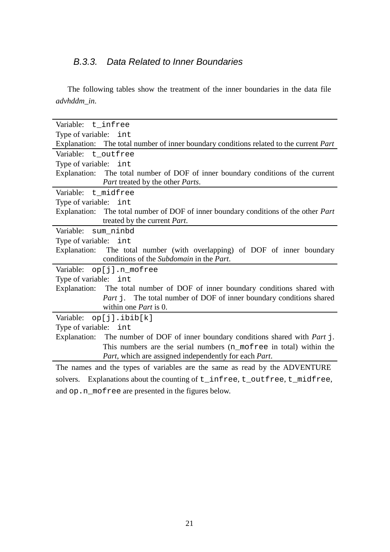# *B.3.3. Data Related to Inner Boundaries*

The following tables show the treatment of the inner boundaries in the data file *advhddm\_in*.

| Variable: t_infree                                                                            |
|-----------------------------------------------------------------------------------------------|
| Type of variable: int                                                                         |
| Explanation: The total number of inner boundary conditions related to the current <i>Part</i> |
| Variable: t_outfree                                                                           |
| Type of variable: int                                                                         |
| Explanation: The total number of DOF of inner boundary conditions of the current              |
| Part treated by the other Parts.                                                              |
| Variable: t_midfree                                                                           |
| Type of variable: int                                                                         |
| Explanation: The total number of DOF of inner boundary conditions of the other <i>Part</i>    |
| treated by the current Part.                                                                  |
| sum ninbd<br>Variable:                                                                        |
| Type of variable: int                                                                         |
| Explanation: The total number (with overlapping) of DOF of inner boundary                     |
| conditions of the Subdomain in the Part.                                                      |
| Variable: op[j].n_mofree                                                                      |
| Type of variable: int                                                                         |
| Explanation: The total number of DOF of inner boundary conditions shared with                 |
| Part j. The total number of DOF of inner boundary conditions shared                           |
| within one <i>Part</i> is 0.                                                                  |
| op[j].ibib[k]<br>Variable:                                                                    |
| Type of variable: int                                                                         |
| Explanation: The number of DOF of inner boundary conditions shared with <i>Part</i> j.        |
| This numbers are the serial numbers (n_mofree in total) within the                            |
| Part, which are assigned independently for each Part.                                         |
| The names and the types of variables are the same as read by the ADVENTURE                    |
| Explanations about the counting of t_infree, t_outfree, t_midfree,<br>solvers.                |

and op.n\_mofree are presented in the figures below.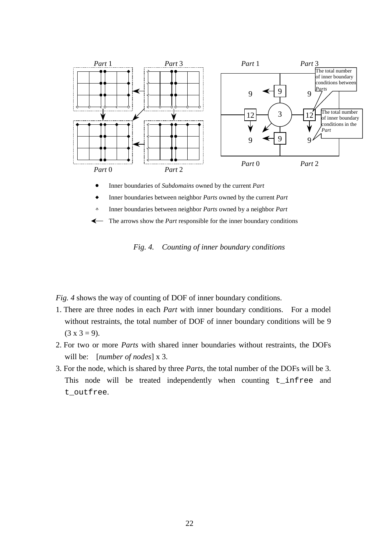

 $\bullet$ Inner boundaries of *Subdomains* owned by the current *Part*

Inner boundaries between neighbor *Parts* owned by the current *Part*  $\bullet$ 

Inner boundaries between neighbor *Parts* owned by a neighbor *Part*  $\hat{\mathcal{A}}$ 

The arrows show the *Part* responsible for the inner boundary conditions $\leftarrow$ 

*Fig. 4. Counting of inner boundary conditions*

*Fig. 4* shows the way of counting of DOF of inner boundary conditions.

- 1. There are three nodes in each *Part* with inner boundary conditions. For a model without restraints, the total number of DOF of inner boundary conditions will be 9  $(3 \times 3 = 9)$ .
- 2. For two or more *Parts* with shared inner boundaries without restraints, the DOFs will be: [*number of nodes*] x 3.
- 3. For the node, which is shared by three *Parts*, the total number of the DOFs will be 3. This node will be treated independently when counting t\_infree and t\_outfree.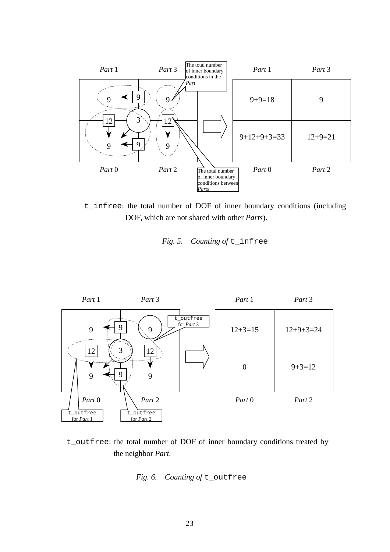

t\_infree: the total number of DOF of inner boundary conditions (including DOF, which are not shared with other *Parts*).





t\_outfree: the total number of DOF of inner boundary conditions treated by the neighbor *Part*.

# *Fig. 6. Counting of* t\_outfree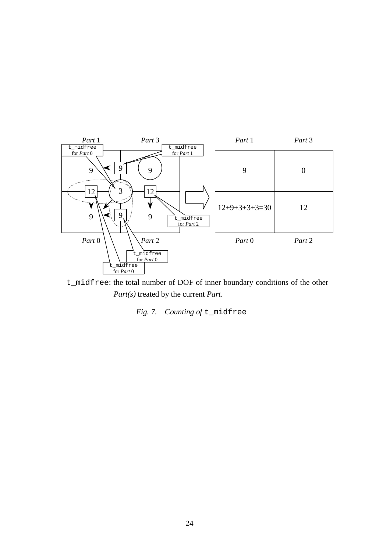

t\_midfree: the total number of DOF of inner boundary conditions of the other *Part(s)* treated by the current *Part*.

# *Fig. 7. Counting of* t\_midfree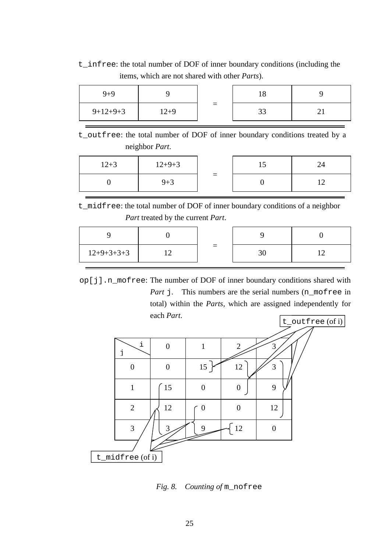t\_infree: the total number of DOF of inner boundary conditions (including the items, which are not shared with other *Parts*).

| $9 + 9$    |          |          | 10 |  |
|------------|----------|----------|----|--|
| $9+12+9+3$ | $12 + 9$ | $\equiv$ | 33 |  |

t\_outfree: the total number of DOF of inner boundary conditions treated by a neighbor *Part*.

| $12 + 3$ | $12+9+3$ |     |  |
|----------|----------|-----|--|
|          | $9 + 3$  | $=$ |  |

t\_midfree: the total number of DOF of inner boundary conditions of a neighbor *Part* treated by the current *Part*.

| $12+9+3+3+3$ |  |  |
|--------------|--|--|

op[j].n\_mofree: The number of DOF of inner boundary conditions shared with *Part* j. This numbers are the serial numbers (n\_mofree in total) within the *Parts*, which are assigned independently for each *Part*.



*Fig. 8. Counting of* m\_nofree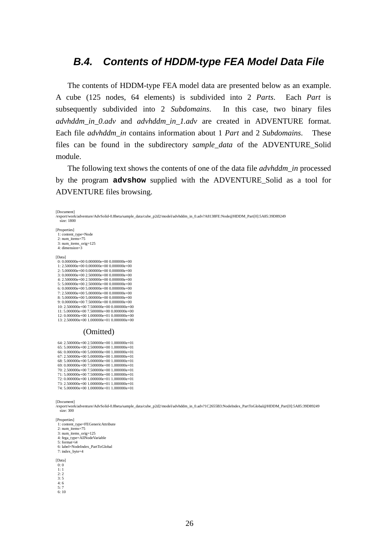# *B.4. Contents of HDDM-type FEA Model Data File*

The contents of HDDM-type FEA model data are presented below as an example. A cube (125 nodes, 64 elements) is subdivided into 2 *Parts*. Each *Part* is subsequently subdivided into 2 *Subdomains*. In this case, two binary files *advhddm\_in\_0.adv* and *advhddm\_in\_1.adv* are created in ADVENTURE format. Each file *advhddm\_in* contains information about 1 *Part* and 2 *Subdomains*. These files can be found in the subdirectory *sample\_data* of the ADVENTURE\_Solid module.

The following text shows the contents of one of the data file *advhddm\_in* processed by the program **advshow** supplied with the ADVENTURE\_Solid as a tool for ADVENTURE files browsing.

/export/work/adventure/AdvSolid-0.8beta/sample\_data/cube\_p2d2/model/advhddm\_in\_0.adv?A8138FE:Node@HDDM\_Part[0]:5A85:39D89249 size: 1800 [Properties] 1: content\_type=Node 2: num\_items=75 3: num\_items\_orig=125 4: dimension=3 [Data] 0: 0.000000e+00 0.000000e+00 0.000000e+00 1: 2.500000e+00 0.000000e+00 0.000000e+00 2: 5.000000e+00 0.000000e+00 0.000000e+00 3: 0.000000e+00 2.500000e+00 0.000000e+00 4: 2.500000e+00 2.500000e+00 0.000000e+00 5: 5.000000e+00 2.500000e+00 0.000000e+00 6: 0.000000e+00 5.000000e+00 0.000000e+00 7: 2.500000e+00 5.000000e+00 0.000000e+00 8: 5.000000e+00 5.000000e+00 0.000000e+00 9: 0.000000e+00 7.500000e+00 0.000000e+00 10: 2.500000e+00 7.500000e+00 0.000000e+00 11: 5.000000e+00 7.500000e+00 0.000000e+00 12: 0.000000e+00 1.000000e+01 0.000000e+00 13: 2.500000e+00 1.000000e+01 0.000000e+00 (Omitted) 64: 2.500000e+00 2.500000e+00 1.000000e+01

| 64: 2.500000e+00 2.500000e+00 1.000000e+01 |                                                                                                                                                                                                                                                                                                                                                                                                                                                                              |
|--------------------------------------------|------------------------------------------------------------------------------------------------------------------------------------------------------------------------------------------------------------------------------------------------------------------------------------------------------------------------------------------------------------------------------------------------------------------------------------------------------------------------------|
|                                            |                                                                                                                                                                                                                                                                                                                                                                                                                                                                              |
|                                            |                                                                                                                                                                                                                                                                                                                                                                                                                                                                              |
|                                            |                                                                                                                                                                                                                                                                                                                                                                                                                                                                              |
|                                            |                                                                                                                                                                                                                                                                                                                                                                                                                                                                              |
|                                            |                                                                                                                                                                                                                                                                                                                                                                                                                                                                              |
|                                            |                                                                                                                                                                                                                                                                                                                                                                                                                                                                              |
|                                            |                                                                                                                                                                                                                                                                                                                                                                                                                                                                              |
|                                            |                                                                                                                                                                                                                                                                                                                                                                                                                                                                              |
|                                            |                                                                                                                                                                                                                                                                                                                                                                                                                                                                              |
|                                            |                                                                                                                                                                                                                                                                                                                                                                                                                                                                              |
|                                            | 65: 5.000000e+00 2.500000e+00 1.000000e+01<br>66: 0.000000e+00 5.000000e+00 1.000000e+01<br>$67: 2.500000e + 005000000e + 001000000e + 01$<br>68: 5.000000e+00 5.000000e+00 1.000000e+01<br>69: 0.000000e+00 7.500000e+00 1.000000e+01<br>70: 2.500000e+00 7.500000e+00 1.000000e+01<br>71: 5.000000e+00 7.500000e+00 1.000000e+01<br>72: 0.000000e+00 1.000000e+01 1.000000e+01<br>73: 2.500000e+00 1.000000e+01 1.000000e+01<br>74: 5.000000e+00 1.000000e+01 1.000000e+01 |

[Document]

[Document]

/export/work/adventure/AdvSolid-0.8beta/sample\_data/cube\_p2d2/model/advhddm\_in\_0.adv?1C2655B3:NodeIndex\_PartToGlobal@HDDM\_Part[0]:5A85:39D89249 size: 300

#### [Properties]

| 1: content_type=FEGenericAttribute |  |
|------------------------------------|--|

- $2: num\_items = 75$
- 3: num\_items\_orig=125 4: fega\_type=AllNodeVariable
- 5: format=i4
- 6: label=NodeIndex\_PartToGlobal
- 7: index\_byte=4

[Data]

- 0: 0
- 1: 1
- $2: 2$ <br> $3: 5$
- $4.6$ 5: 7
- 6: 10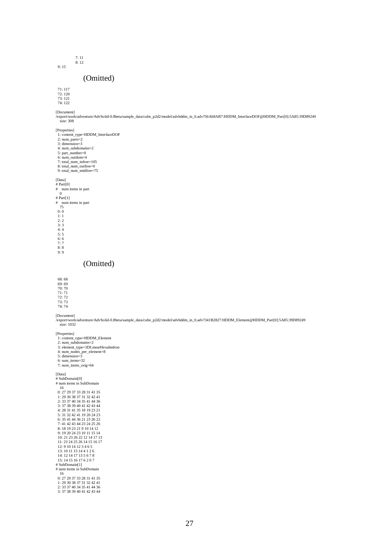9: 15

7: 11 8: 12

### (Omitted)

71: 117 72: 120 73: 121

74: 122

[Document] /export/work/adventure/AdvSolid-0.8beta/sample\_data/cube\_p2d2/model/advhddm\_in\_0.adv?56A68AB7:HDDM\_InterfaceDOF@HDDM\_Part[0]:5A85:39D89249 size: 308

[Properties]

1: content\_type=HDDM\_InterfaceDOF 2: num\_parts=2 3: dimension=3 4: num\_subdomains=2 5: part\_number=0 6: num\_outdom=4 7: total\_num\_infree=105 8: total\_num\_outfree=0 9: total\_num\_midfree=75 [Data] # Part[0] # num items in part 0 # Part[1] # num items in part 75  $0: 0$ 1: 1<br>
2: 2<br>
3: 3<br>
4: 4<br>
5: 5

6: 6<br>7: 7<br>8: 8<br>9: 9

(Omitted)

68: 68 69: 69 70: 70 71: 71

72: 72 73: 73 74: 74

[Document] /export/work/adventure/AdvSolid-0.8beta/sample\_data/cube\_p2d2/model/advhddm\_in\_0.adv?341B2827:HDDM\_Element@HDDM\_Part[0]:5A85:39D89249 size: 1032

[Properties]

1: content\_type=HDDM\_Element<br>
2: num\_subdomains=2<br>
3: element\_type=3DLinearHexahedron<br>
4: num\_nodes\_per\_element=8<br>
5: dimension=3

 6: sum\_items=32 7: num\_items\_orig=64

[Data]

# SubDomain[0] # num items in SubDomain

1: 29 30 38 37 31 32 42 41 2: 33 37 40 34 35 41 44 36 3: 37 38 39 40 41 42 43 44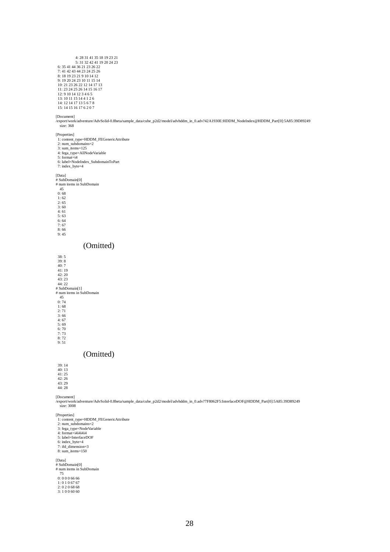$\begin{array}{c} 4\!:\!28\;31\;41\;35\;18\;19\;23\;21\\ \ \, 5\!:\!31\;32\;42\;41\;19\;20\;24\;23\\ \ \, 6\!:\!35\;41\;44\;36\;21\;23\;26\;22\\ \ \, 7\!:\!41\;42\;43\;44\;23\;24\;25\;26\\ \ \, 8\!:\!18\;9\;20\;24\;23\;10\;11\;15\;14\\ \ \,$ 14: 12 14 17 13 5 6 7 8 15: 14 15 16 17 6 2 0 7

#### [Document]

/export/work/adventure/AdvSolid-0.8beta/sample\_data/cube\_p2d2/model/advhddm\_in\_0.adv?42A1930E:HDDM\_NodeIndex@HDDM\_Part[0]:5A85:39D89249 size: 368

- 
- [Properties] 1: content\_type=HDDM\_FEGenericAttribute 2: num\_subdomains=2 3: sum\_items=125 4: fega\_type=AllNodeVariable

5: sun\_tems-125<br>4: fega\_type=AllNodeVariable<br>5: format=i4

- 
- 6: label=NodeIndex\_SubdomainToPart 7: index\_byte=4

#### [Data]

# SubDomain[0] # num items in SubDomain

 $45$ <br>0: 68

1: 62<br>
2: 65<br>
3: 60<br>
4: 61<br>
5: 63 6: 64

7: 67 8: 66 9: 45

### (Omitted)

 38: 5 39: 8 40: 7 41: 19 42: 20 43: 23 44: 22 # SubDomain[1] # num items in SubDomain  $45$ <br>0: 74 1: 68 2: 71 3: 66 4: 67 5: 69 6: 70 7: 73 8: 72 9: 51

### (Omitted)

39: 14 40: 13 41: 25 42: 26 43: 29

44: 28

[Document] /export/work/adventure/AdvSolid-0.8beta/sample\_data/cube\_p2d2/model/advhddm\_in\_0.adv?7F8062F5:InterfaceDOF@HDDM\_Part[0]:5A85:39D89249 size: 3008

[Properties] 1: content\_type=HDDM\_FEGenericAttribute 2: num\_subdomains=2 3: fega\_type=NodeVariable 4: format=i4i4i4i4 5: label=InterfaceDOF 6: index\_byte=4

7: ifd\_dimension=3 8: sum\_items=150

[Data] # SubDomain[0] # num items in SubDomain 75

0: 0 0 0 66 66

1: 0 1 0 67 67 2: 0 2 0 68 68 3: 1 0 0 60 60

28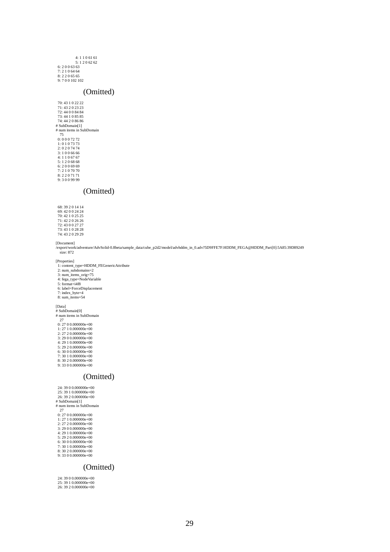| 4:1106161   |
|-------------|
| 5:1206262   |
| 6: 2006363  |
| 7: 2106464  |
| 8: 2206565  |
| 9:700102102 |

### (Omitted)

### (Omitted)

[Document]

/export/work/adventure/AdvSolid-0.8beta/sample\_data/cube\_p2d2/model/advhddm\_in\_0.adv?5D9FFE7F:HDDM\_FEGA@HDDM\_Part[0]:5A85:39D89249 size: 872

[Properties]

1: content\_type=HDDM\_FEGenericAttribute<br>
2: num\_subdomains=2<br>
3: num\_items\_orig=75<br>
4: fega\_type=NodeVariable<br>
5: format=i4f8<br>
6: label=ForceDisplacement

- 
- 
- 
- 
- 7: index\_byte=4 8: sum\_items=54

- [Data] # SubDomain[0]
- # num items in SubDomain 27 0: 27 0 0.000000e+00
- 
- 1: 27 1 0.000000e+00 2: 27 2 0.000000e+00
- 3: 29 0 0.000000e+00 4: 29 1 0.000000e+00
- 
- 5: 29 2 0.000000e+00 6: 30 0 0.000000e+00 7: 30 1 0.000000e+00
- 8: 30 2 0.000000e+00 9: 33 0 0.000000e+00
- 

### (Omitted)

 24: 39 0 0.000000e+00 25: 39 1 0.000000e+00 26: 39 2 0.000000e+00 # SubDomain[1] # num items in SubDomain 27 0: 27 0 0.000000e+00 1: 27 1 0.000000e+00 2: 27 2 0.000000e+00 3: 29 0 0.000000e+00 4: 29 1 0.000000e+00 5: 29 2 0.000000e+00 6: 30 0 0.000000e+00 7: 30 1 0.000000e+00 8: 30 2 0.000000e+00 9: 33 0 0.000000e+00

### (Omitted)

 24: 39 0 0.000000e+00 25: 39 1 0.000000e+00 26: 39 2 0.000000e+00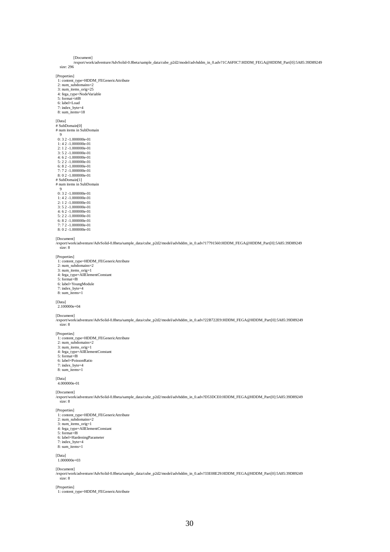[Document]

/export/work/adventure/AdvSolid-0.8beta/sample\_data/cube\_p2d2/model/advhddm\_in\_0.adv?1CA6F0C7:HDDM\_FEGA@HDDM\_Part[0]:5A85:39D89249 size: 296

[Properties]

 1: content\_type=HDDM\_FEGenericAttribute 2: num\_subdomains=2 3: num\_items\_orig=25 4: fega\_type=NodeVariable 5: format=i4f8 6: label=Load

7: index\_byte=4 8: sum\_items=18

[Data] # SubDomain[0] # num items in SubDomain 9

0: 3 2 -1.000000e-01 1: 4 2 -1.000000e-01 2: 1 2 -1.000000e-01

3: 5 2 -1.000000e-01

4: 6 2 -1.000000e-01 5: 2 2 -1.000000e-01 6: 8 2 -1.000000e-01 7: 7 2 -1.000000e-01 8: 0 2 -1.000000e-01

- 
- # SubDomain[1] # num items in SubDomain
- $\frac{1}{9}$ 0: 3 2 -1.000000e-01
- 1: 4 2 -1.000000e-01 2: 1 2 -1.000000e-01 3: 5 2 -1.000000e-01
- 4: 6 2 -1.000000e-01 5: 2 2 -1.000000e-01
- 6: 8 2 -1.000000e-01 7: 7 2 -1.000000e-01
- 8: 0 2 -1.000000e-01

[Document]

/export/work/adventure/AdvSolid-0.8beta/sample\_data/cube\_p2d2/model/advhddm\_in\_0.adv?17791560:HDDM\_FEGA@HDDM\_Part[0]:5A85:39D89249 size: 8

[Properties] 1: content\_type=HDDM\_FEGenericAttribute

- 
- 2: num\_subdomains=2<br>
3: num\_items\_orig=1<br>
4: fega\_type=AllElementConstant<br>
5: format=f8<br>
6: label=YoungModule

- 
- 7: index\_byte=4
- 8: sum\_items=1

### [Data] 2.100000e+04

#### [Document]

/export/work/adventure/AdvSolid-0.8beta/sample\_data/cube\_p2d2/model/advhddm\_in\_0.adv?22B722E9:HDDM\_FEGA@HDDM\_Part[0]:5A85:39D89249 size: 8

[Properties]

- 1: content\_type=HDDM\_FEGenericAttribute 2: num\_subdomains=2
- 
- 3: num\_items\_orig=1 4: fega\_type=AllElementConstant 5: format=f8
- 
- 6: label=PoissonRatio
- 7: index\_byte=4 8: sum\_items=1
- 

### [Data] 4.000000e-01

[Document]

/export/work/adventure/AdvSolid-0.8beta/sample\_data/cube\_p2d2/model/advhddm\_in\_0.adv?D53DCE0:HDDM\_FEGA@HDDM\_Part[0]:5A85:39D89249 size: 8

- [Properties]
- 1: content\_type=HDDM\_FEGenericAttribute 2: num\_subdomains=2 3: num\_items\_orig=1
- 
- 4: fega\_type=AllElementConstant
- 5: format=f8
- 6: label=HardeningParameter
- 7: index\_byte=4
- 8: sum\_items=1

### [Data] 1.000000e+03

[Document]

/export/work/adventure/AdvSolid-0.8beta/sample\_data/cube\_p2d2/model/advhddm\_in\_0.adv?33E08E29:HDDM\_FEGA@HDDM\_Part[0]:5A85:39D89249 size: 8

[Properties]

1: content\_type=HDDM\_FEGenericAttribute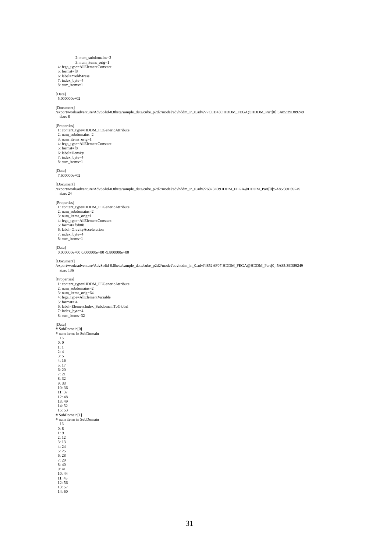- 
- 2: num\_subdomains=2<br>
3: num\_items\_orig=1<br>
4: fega\_type=AllElementConstant<br>
5: format=f8<br>
6: label=YieldStress
- 
- 
- 7: index\_byte=4 8: sum\_items=1
- 

[Data] 5.000000e+02

[Document]

/export/work/adventure/AdvSolid-0.8beta/sample\_data/cube\_p2d2/model/advhddm\_in\_0.adv?77CED430:HDDM\_FEGA@HDDM\_Part[0]:5A85:39D89249 size: 8

#### [Properties]

- 1: content\_type=HDDM\_FEGenericAttribute 2: num\_subdomains=2
- 
- 3: num\_items\_orig=1 4: fega\_type=AllElementConstant 5: format=f8
- 
- 6: label=Density
- 7: index\_byte=4 8: sum\_items=1
- 

### [Data] 7.600000e+02

[Document] /export/work/adventure/AdvSolid-0.8beta/sample\_data/cube\_p2d2/model/advhddm\_in\_0.adv?26873E3:HDDM\_FEGA@HDDM\_Part[0]:5A85:39D89249 size: 24

#### [Properties]

1: content\_type=HDDM\_FEGenericAttribute<br>
2: num\_subdomains=2<br>
3: num\_items\_orig=1<br>
4: fega\_type=AllElementConstant<br>
5: format=f8f8f8

- 
- 
- 
- 6: label=GravityAcceleration 7: index\_byte=4
- 
- 8: sum\_items=1

[Data] 0.000000e+00 0.000000e+00 -9.800000e+00

### [Document]

/export/work/adventure/AdvSolid-0.8beta/sample\_data/cube\_p2d2/model/advhddm\_in\_0.adv?4852AF07:HDDM\_FEGA@HDDM\_Part[0]:5A85:39D89249 size: 136

[Properties] 1: content\_type=HDDM\_FEGenericAttribute

- 
- 
- 
- 2: num\_subdomains=2<br>
3: num\_items\_orig=64<br>
4: fega\_type=AllElementVariable<br>
5: format=i4<br>
6: label=ElementIndex\_SubdomainToGlobal
- 7: index\_byte=4
- 8: sum\_items=32

#### [Data]

# SubDomain[0] # num items in SubDomain

 $\begin{array}{c} 16 \\ 0:0 \end{array}$ 

# 1: 1<br>2: 4<br>3: 5 4: 16 5: 17 6: 20 7: 21 8: 32 9: 33 10: 36 11: 37 12: 48 13: 49 14: 52 15: 53 # SubDomain[1] # num items in SubDomain  $\frac{16}{0:8}$  1: 9 2: 12 3: 13 4: 24 5: 25 6: 28 7: 29  $8:40$  9: 41 10: 44  $11:45$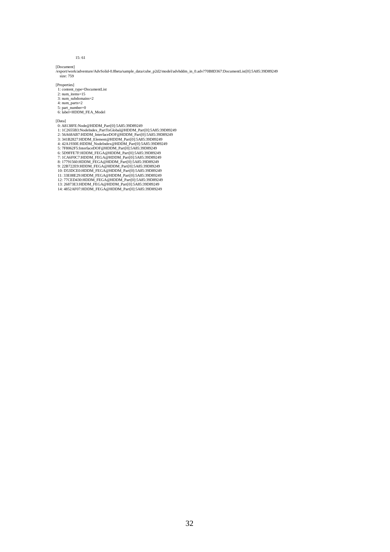15: 61

[Document] /export/work/adventure/AdvSolid-0.8beta/sample\_data/cube\_p2d2/model/advhddm\_in\_0.adv?70B8D367:DocumentList[0]:5A85:39D89249 size: 759

[Properties]

1: content\_type=DocumentList 2: num\_items=15 3: num\_subdomains=2

- 
- 4: num\_parts=2
- 

5: part\_number=0 6: label=HDDM\_FEA\_Model

- [Data] 0: A8138FE:Node@HDDM\_Part[0]:5A85:39D89249
- 
- 1: IC2655B3:NodeIndex\_PartToGlobal@HDDM\_Part[0]:5A85:39D89249<br>2: 56A68AB7:HDDM\_InterfaceDOF@HDDM\_Part[0]:5A85:39D89249<br>3: 341B2827:HDDM\_Element@HDDM\_Part[0]:5A85:39D89249<br>4: 42A1930E:HDDM\_NodeIndex@HDDM\_Part[0]:5A85:39D89
- 
- 
- 
- 
- 
- 
- 
- 
- 
-